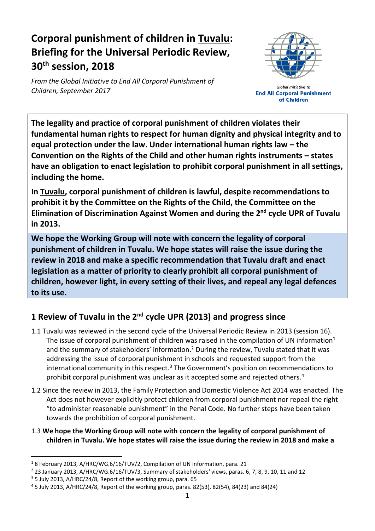# **Corporal punishment of children in Tuvalu: Briefing for the Universal Periodic Review, 30th session, 2018**

*From the Global Initiative to End All Corporal Punishment of Children, September 2017*



**Global Initiative to End All Corporal Punishment** of Children

**The legality and practice of corporal punishment of children violates their fundamental human rights to respect for human dignity and physical integrity and to equal protection under the law. Under international human rights law – the Convention on the Rights of the Child and other human rights instruments – states have an obligation to enact legislation to prohibit corporal punishment in all settings, including the home.**

**In Tuvalu, corporal punishment of children is lawful, despite recommendations to prohibit it by the Committee on the Rights of the Child, the Committee on the Elimination of Discrimination Against Women and during the 2 nd cycle UPR of Tuvalu in 2013.**

**We hope the Working Group will note with concern the legality of corporal punishment of children in Tuvalu. We hope states will raise the issue during the review in 2018 and make a specific recommendation that Tuvalu draft and enact legislation as a matter of priority to clearly prohibit all corporal punishment of children, however light, in every setting of their lives, and repeal any legal defences to its use.**

## **1 Review of Tuvalu in the 2nd cycle UPR (2013) and progress since**

- 1.1 Tuvalu was reviewed in the second cycle of the Universal Periodic Review in 2013 (session 16). The issue of corporal punishment of children was raised in the compilation of UN information<sup>1</sup> and the summary of stakeholders' information.<sup>2</sup> During the review, Tuvalu stated that it was addressing the issue of corporal punishment in schools and requested support from the international community in this respect.<sup>3</sup> The Government's position on recommendations to prohibit corporal punishment was unclear as it accepted some and rejected others.<sup>4</sup>
- 1.2 Since the review in 2013, the Family Protection and Domestic Violence Act 2014 was enacted. The Act does not however explicitly protect children from corporal punishment nor repeal the right "to administer reasonable punishment" in the Penal Code. No further steps have been taken towards the prohibition of corporal punishment.
- 1.3 **We hope the Working Group will note with concern the legality of corporal punishment of children in Tuvalu. We hope states will raise the issue during the review in 2018 and make a**

 $\overline{a}$ <sup>1</sup> 8 February 2013, A/HRC/WG.6/16/TUV/2, Compilation of UN information, para. 21

<sup>2</sup> 23 January 2013, A/HRC/WG.6/16/TUV/3, Summary of stakeholders' views, paras. 6, 7, 8, 9, 10, 11 and 12

<sup>3</sup> 5 July 2013, A/HRC/24/8, Report of the working group, para. 65

<sup>4</sup> 5 July 2013, A/HRC/24/8, Report of the working group, paras. 82(53), 82(54), 84(23) and 84(24)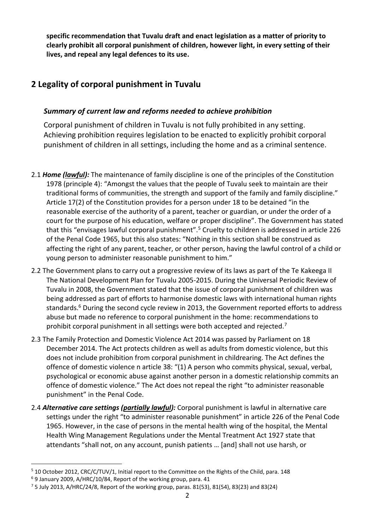**specific recommendation that Tuvalu draft and enact legislation as a matter of priority to clearly prohibit all corporal punishment of children, however light, in every setting of their lives, and repeal any legal defences to its use.**

### **2 Legality of corporal punishment in Tuvalu**

#### *Summary of current law and reforms needed to achieve prohibition*

Corporal punishment of children in Tuvalu is not fully prohibited in any setting. Achieving prohibition requires legislation to be enacted to explicitly prohibit corporal punishment of children in all settings, including the home and as a criminal sentence.

- 2.1 *Home (lawful):* The maintenance of family discipline is one of the principles of the Constitution 1978 (principle 4): "Amongst the values that the people of Tuvalu seek to maintain are their traditional forms of communities, the strength and support of the family and family discipline." Article 17(2) of the Constitution provides for a person under 18 to be detained "in the reasonable exercise of the authority of a parent, teacher or guardian, or under the order of a court for the purpose of his education, welfare or proper discipline". The Government has stated that this "envisages lawful corporal punishment".<sup>5</sup> Cruelty to children is addressed in article 226 of the Penal Code 1965, but this also states: "Nothing in this section shall be construed as affecting the right of any parent, teacher, or other person, having the lawful control of a child or young person to administer reasonable punishment to him."
- 2.2 The Government plans to carry out a progressive review of its laws as part of the Te Kakeega II The National Development Plan for Tuvalu 2005-2015. During the Universal Periodic Review of Tuvalu in 2008, the Government stated that the issue of corporal punishment of children was being addressed as part of efforts to harmonise domestic laws with international human rights standards.<sup>6</sup> During the second cycle review in 2013, the Government reported efforts to address abuse but made no reference to corporal punishment in the home: recommendations to prohibit corporal punishment in all settings were both accepted and rejected.<sup>7</sup>
- 2.3 The Family Protection and Domestic Violence Act 2014 was passed by Parliament on 18 December 2014. The Act protects children as well as adults from domestic violence, but this does not include prohibition from corporal punishment in childrearing. The Act defines the offence of domestic violence n article 38: "(1) A person who commits physical, sexual, verbal, psychological or economic abuse against another person in a domestic relationship commits an offence of domestic violence." The Act does not repeal the right "to administer reasonable punishment" in the Penal Code.
- 2.4 *Alternative care settings (partially lawful):* Corporal punishment is lawful in alternative care settings under the right "to administer reasonable punishment" in article 226 of the Penal Code 1965. However, in the case of persons in the mental health wing of the hospital, the Mental Health Wing Management Regulations under the Mental Treatment Act 1927 state that attendants "shall not, on any account, punish patients … [and] shall not use harsh, or

 $\overline{a}$ 

<sup>5</sup> 10 October 2012, CRC/C/TUV/1, Initial report to the Committee on the Rights of the Child, para. 148

<sup>6</sup> 9 January 2009, A/HRC/10/84, Report of the working group, para. 41

 $7$  5 July 2013, A/HRC/24/8, Report of the working group, paras. 81(53), 81(54), 83(23) and 83(24)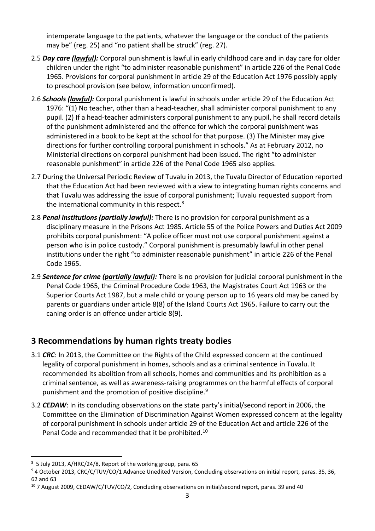intemperate language to the patients, whatever the language or the conduct of the patients may be" (reg. 25) and "no patient shall be struck" (reg. 27).

- 2.5 *Day care (lawful):* Corporal punishment is lawful in early childhood care and in day care for older children under the right "to administer reasonable punishment" in article 226 of the Penal Code 1965. Provisions for corporal punishment in article 29 of the Education Act 1976 possibly apply to preschool provision (see below, information unconfirmed).
- 2.6 *Schools (lawful):* Corporal punishment is lawful in schools under article 29 of the Education Act 1976: "(1) No teacher, other than a head-teacher, shall administer corporal punishment to any pupil. (2) If a head-teacher administers corporal punishment to any pupil, he shall record details of the punishment administered and the offence for which the corporal punishment was administered in a book to be kept at the school for that purpose. (3) The Minister may give directions for further controlling corporal punishment in schools." As at February 2012, no Ministerial directions on corporal punishment had been issued. The right "to administer reasonable punishment" in article 226 of the Penal Code 1965 also applies.
- 2.7 During the Universal Periodic Review of Tuvalu in 2013, the Tuvalu Director of Education reported that the Education Act had been reviewed with a view to integrating human rights concerns and that Tuvalu was addressing the issue of corporal punishment; Tuvalu requested support from the international community in this respect. $8$
- 2.8 *Penal institutions (partially lawful):* There is no provision for corporal punishment as a disciplinary measure in the Prisons Act 1985. Article 55 of the Police Powers and Duties Act 2009 prohibits corporal punishment: "A police officer must not use corporal punishment against a person who is in police custody." Corporal punishment is presumably lawful in other penal institutions under the right "to administer reasonable punishment" in article 226 of the Penal Code 1965.
- 2.9 *Sentence for crime (partially lawful):* There is no provision for judicial corporal punishment in the Penal Code 1965, the Criminal Procedure Code 1963, the Magistrates Court Act 1963 or the Superior Courts Act 1987, but a male child or young person up to 16 years old may be caned by parents or guardians under article 8(8) of the Island Courts Act 1965. Failure to carry out the caning order is an offence under article 8(9).

#### **3 Recommendations by human rights treaty bodies**

- 3.1 *CRC*: In 2013, the Committee on the Rights of the Child expressed concern at the continued legality of corporal punishment in homes, schools and as a criminal sentence in Tuvalu. It recommended its abolition from all schools, homes and communities and its prohibition as a criminal sentence, as well as awareness-raising programmes on the harmful effects of corporal punishment and the promotion of positive discipline.<sup>9</sup>
- 3.2 *CEDAW*: In its concluding observations on the state party's initial/second report in 2006, the Committee on the Elimination of Discrimination Against Women expressed concern at the legality of corporal punishment in schools under article 29 of the Education Act and article 226 of the Penal Code and recommended that it be prohibited.<sup>10</sup>

 $\overline{a}$ 8 5 July 2013, A/HRC/24/8, Report of the working group, para. 65

<sup>&</sup>lt;sup>9</sup> 4 October 2013, CRC/C/TUV/CO/1 Advance Unedited Version, Concluding observations on initial report, paras. 35, 36, 62 and 63

 $10$  7 August 2009, CEDAW/C/TUV/CO/2, Concluding observations on initial/second report, paras. 39 and 40